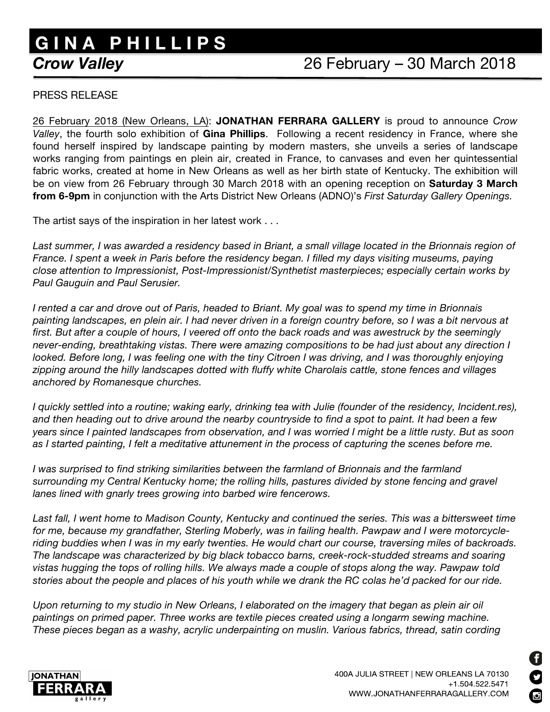## **G I N A P H I L L I P S Crow Valley**

## *Crow Valley* 26 February – 30 March 2018

## PRESS RELEASE

26 February 2018 (New Orleans, LA): **JONATHAN FERRARA GALLERY** is proud to announce *Crow Valley*, the fourth solo exhibition of **Gina Phillips**. Following a recent residency in France, where she found herself inspired by landscape painting by modern masters, she unveils a series of landscape works ranging from paintings en plein air, created in France, to canvases and even her quintessential fabric works, created at home in New Orleans as well as her birth state of Kentucky. The exhibition will be on view from 26 February through 30 March 2018 with an opening reception on **Saturday 3 March from 6-9pm** in conjunction with the Arts District New Orleans (ADNO)'s *First Saturday Gallery Openings.*

The artist says of the inspiration in her latest work . . .

*Last summer, I was awarded a residency based in Briant, a small village located in the Brionnais region of France. I spent a week in Paris before the residency began. I filled my days visiting museums, paying close attention to Impressionist, Post-Impressionist/Synthetist masterpieces; especially certain works by Paul Gauguin and Paul Serusier.*

*I rented a car and drove out of Paris, headed to Briant. My goal was to spend my time in Brionnais painting landscapes, en plein air. I had never driven in a foreign country before, so I was a bit nervous at first. But after a couple of hours, I veered off onto the back roads and was awestruck by the seemingly never-ending, breathtaking vistas. There were amazing compositions to be had just about any direction I looked. Before long, I was feeling one with the tiny Citroen I was driving, and I was thoroughly enjoying zipping around the hilly landscapes dotted with fluffy white Charolais cattle, stone fences and villages anchored by Romanesque churches.*

*I* quickly settled into a routine; waking early, drinking tea with Julie (founder of the residency, Incident.res), *and then heading out to drive around the nearby countryside to find a spot to paint. It had been a few years since I painted landscapes from observation, and I was worried I might be a little rusty. But as soon as I started painting, I felt a meditative attunement in the process of capturing the scenes before me.*

*I was surprised to find striking similarities between the farmland of Brionnais and the farmland surrounding my Central Kentucky home; the rolling hills, pastures divided by stone fencing and gravel lanes lined with gnarly trees growing into barbed wire fencerows.* 

Last fall, I went home to Madison County, Kentucky and continued the series. This was a bittersweet time *for me, because my grandfather, Sterling Moberly, was in failing health. Pawpaw and I were motorcycleriding buddies when I was in my early twenties. He would chart our course, traversing miles of backroads. The landscape was characterized by big black tobacco barns, creek-rock-studded streams and soaring vistas hugging the tops of rolling hills. We always made a couple of stops along the way. Pawpaw told stories about the people and places of his youth while we drank the RC colas he'd packed for our ride.* 

*Upon returning to my studio in New Orleans, I elaborated on the imagery that began as plein air oil paintings on primed paper. Three works are textile pieces created using a longarm sewing machine. These pieces began as a washy, acrylic underpainting on muslin. Various fabrics, thread, satin cording*